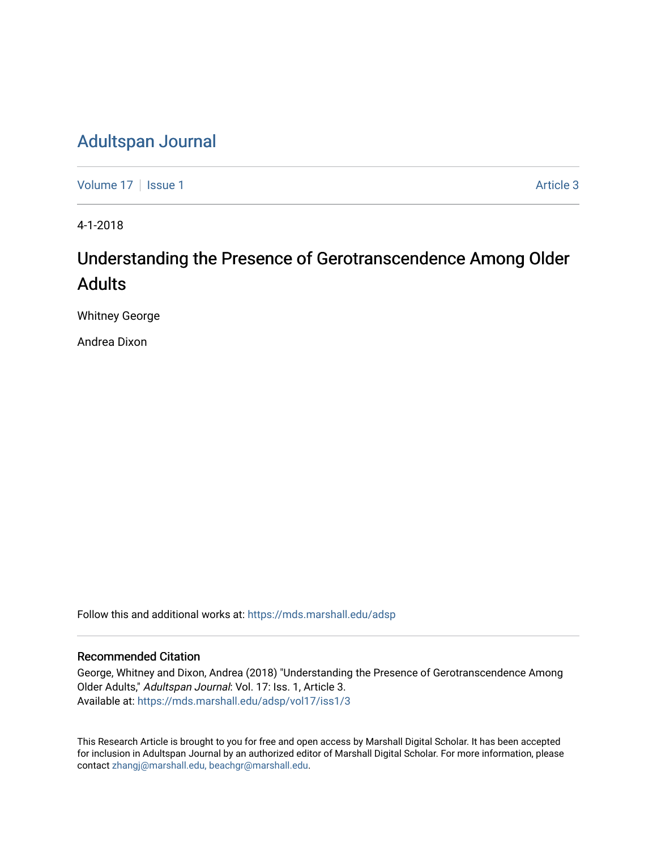# [Adultspan Journal](https://mds.marshall.edu/adsp)

[Volume 17](https://mds.marshall.edu/adsp/vol17) | [Issue 1](https://mds.marshall.edu/adsp/vol17/iss1) Article 3

4-1-2018

# Understanding the Presence of Gerotranscendence Among Older Adults

Whitney George

Andrea Dixon

Follow this and additional works at: [https://mds.marshall.edu/adsp](https://mds.marshall.edu/adsp?utm_source=mds.marshall.edu%2Fadsp%2Fvol17%2Fiss1%2F3&utm_medium=PDF&utm_campaign=PDFCoverPages) 

#### Recommended Citation

George, Whitney and Dixon, Andrea (2018) "Understanding the Presence of Gerotranscendence Among Older Adults," Adultspan Journal: Vol. 17: Iss. 1, Article 3. Available at: [https://mds.marshall.edu/adsp/vol17/iss1/3](https://mds.marshall.edu/adsp/vol17/iss1/3?utm_source=mds.marshall.edu%2Fadsp%2Fvol17%2Fiss1%2F3&utm_medium=PDF&utm_campaign=PDFCoverPages) 

This Research Article is brought to you for free and open access by Marshall Digital Scholar. It has been accepted for inclusion in Adultspan Journal by an authorized editor of Marshall Digital Scholar. For more information, please contact [zhangj@marshall.edu, beachgr@marshall.edu](mailto:zhangj@marshall.edu,%20beachgr@marshall.edu).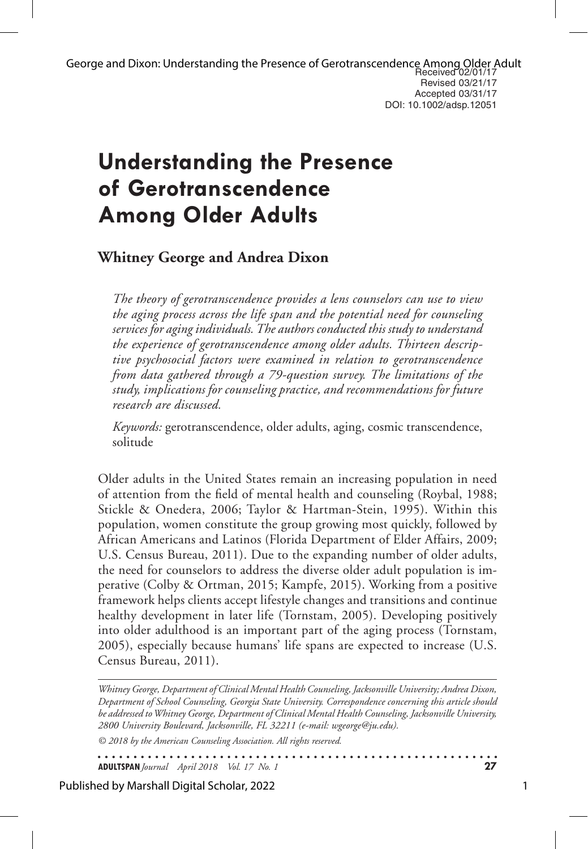# **Understanding the Presence of Gerotranscendence Among Older Adults**

# **Whitney George and Andrea Dixon**

*The theory of gerotranscendence provides a lens counselors can use to view the aging process across the life span and the potential need for counseling services for aging individuals. The authors conducted this study to understand the experience of gerotranscendence among older adults. Thirteen descriptive psychosocial factors were examined in relation to gerotranscendence from data gathered through a 79-question survey. The limitations of the study, implications for counseling practice, and recommendations for future research are discussed.*

*Keywords:* gerotranscendence, older adults, aging, cosmic transcendence, solitude

Older adults in the United States remain an increasing population in need of attention from the field of mental health and counseling (Roybal, 1988; Stickle & Onedera, 2006; Taylor & Hartman-Stein, 1995). Within this population, women constitute the group growing most quickly, followed by African Americans and Latinos (Florida Department of Elder Affairs, 2009; U.S. Census Bureau, 2011). Due to the expanding number of older adults, the need for counselors to address the diverse older adult population is imperative (Colby & Ortman, 2015; Kampfe, 2015). Working from a positive framework helps clients accept lifestyle changes and transitions and continue healthy development in later life (Tornstam, 2005). Developing positively into older adulthood is an important part of the aging process (Tornstam, 2005), especially because humans' life spans are expected to increase (U.S. Census Bureau, 2011).

*Whitney George, Department of Clinical Mental Health Counseling, Jacksonville University; Andrea Dixon, Department of School Counseling, Georgia State University. Correspondence concerning this article should be addressed to Whitney George, Department of Clinical Mental Health Counseling, Jacksonville University, 2800 University Boulevard, Jacksonville, FL 32211 (e-mail: wgeorge@ju.edu).*

*© 2018 by the American Counseling Association. All rights reserved.*

. . . . . . . . . . . . . . . **ADULTSPAN***Journal April 2018 Vol. 17 No. 1* **27**

Published by Marshall Digital Scholar, 2022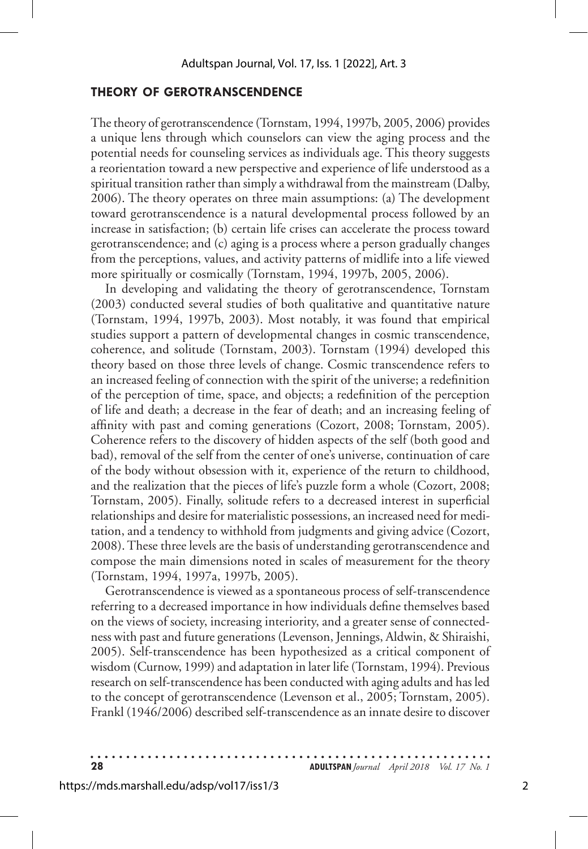#### **THEORY OF GEROTRANSCENDENCE**

The theory of gerotranscendence (Tornstam, 1994, 1997b, 2005, 2006) provides a unique lens through which counselors can view the aging process and the potential needs for counseling services as individuals age. This theory suggests a reorientation toward a new perspective and experience of life understood as a spiritual transition rather than simply a withdrawal from the mainstream (Dalby, 2006). The theory operates on three main assumptions: (a) The development toward gerotranscendence is a natural developmental process followed by an increase in satisfaction; (b) certain life crises can accelerate the process toward gerotranscendence; and (c) aging is a process where a person gradually changes from the perceptions, values, and activity patterns of midlife into a life viewed more spiritually or cosmically (Tornstam, 1994, 1997b, 2005, 2006).

In developing and validating the theory of gerotranscendence, Tornstam (2003) conducted several studies of both qualitative and quantitative nature (Tornstam, 1994, 1997b, 2003). Most notably, it was found that empirical studies support a pattern of developmental changes in cosmic transcendence, coherence, and solitude (Tornstam, 2003). Tornstam (1994) developed this theory based on those three levels of change. Cosmic transcendence refers to an increased feeling of connection with the spirit of the universe; a redefinition of the perception of time, space, and objects; a redefinition of the perception of life and death; a decrease in the fear of death; and an increasing feeling of affinity with past and coming generations (Cozort, 2008; Tornstam, 2005). Coherence refers to the discovery of hidden aspects of the self (both good and bad), removal of the self from the center of one's universe, continuation of care of the body without obsession with it, experience of the return to childhood, and the realization that the pieces of life's puzzle form a whole (Cozort, 2008; Tornstam, 2005). Finally, solitude refers to a decreased interest in superficial relationships and desire for materialistic possessions, an increased need for meditation, and a tendency to withhold from judgments and giving advice (Cozort, 2008). These three levels are the basis of understanding gerotranscendence and compose the main dimensions noted in scales of measurement for the theory (Tornstam, 1994, 1997a, 1997b, 2005).

Gerotranscendence is viewed as a spontaneous process of self-transcendence referring to a decreased importance in how individuals define themselves based on the views of society, increasing interiority, and a greater sense of connectedness with past and future generations (Levenson, Jennings, Aldwin, & Shiraishi, 2005). Self-transcendence has been hypothesized as a critical component of wisdom (Curnow, 1999) and adaptation in later life (Tornstam, 1994). Previous research on self-transcendence has been conducted with aging adults and has led to the concept of gerotranscendence (Levenson et al., 2005; Tornstam, 2005). Frankl (1946/2006) described self-transcendence as an innate desire to discover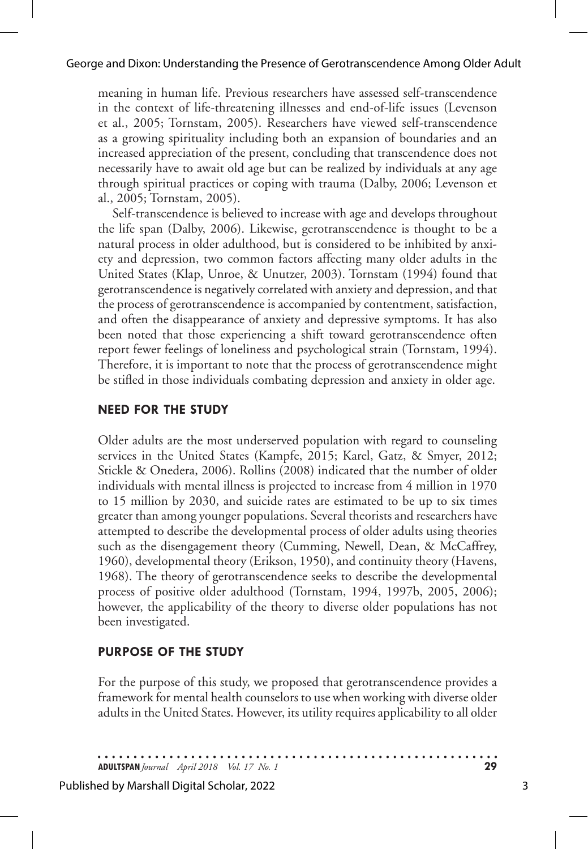meaning in human life. Previous researchers have assessed self-transcendence in the context of life-threatening illnesses and end-of-life issues (Levenson et al., 2005; Tornstam, 2005). Researchers have viewed self-transcendence as a growing spirituality including both an expansion of boundaries and an increased appreciation of the present, concluding that transcendence does not necessarily have to await old age but can be realized by individuals at any age through spiritual practices or coping with trauma (Dalby, 2006; Levenson et al., 2005; Tornstam, 2005).

Self-transcendence is believed to increase with age and develops throughout the life span (Dalby, 2006). Likewise, gerotranscendence is thought to be a natural process in older adulthood, but is considered to be inhibited by anxiety and depression, two common factors affecting many older adults in the United States (Klap, Unroe, & Unutzer, 2003). Tornstam (1994) found that gerotranscendence is negatively correlated with anxiety and depression, and that the process of gerotranscendence is accompanied by contentment, satisfaction, and often the disappearance of anxiety and depressive symptoms. It has also been noted that those experiencing a shift toward gerotranscendence often report fewer feelings of loneliness and psychological strain (Tornstam, 1994). Therefore, it is important to note that the process of gerotranscendence might be stifled in those individuals combating depression and anxiety in older age.

### **NEED FOR THE STUDY**

Older adults are the most underserved population with regard to counseling services in the United States (Kampfe, 2015; Karel, Gatz, & Smyer, 2012; Stickle & Onedera, 2006). Rollins (2008) indicated that the number of older individuals with mental illness is projected to increase from 4 million in 1970 to 15 million by 2030, and suicide rates are estimated to be up to six times greater than among younger populations. Several theorists and researchers have attempted to describe the developmental process of older adults using theories such as the disengagement theory (Cumming, Newell, Dean, & McCaffrey, 1960), developmental theory (Erikson, 1950), and continuity theory (Havens, 1968). The theory of gerotranscendence seeks to describe the developmental process of positive older adulthood (Tornstam, 1994, 1997b, 2005, 2006); however, the applicability of the theory to diverse older populations has not been investigated.

### **PURPOSE OF THE STUDY**

For the purpose of this study, we proposed that gerotranscendence provides a framework for mental health counselors to use when working with diverse older adults in the United States. However, its utility requires applicability to all older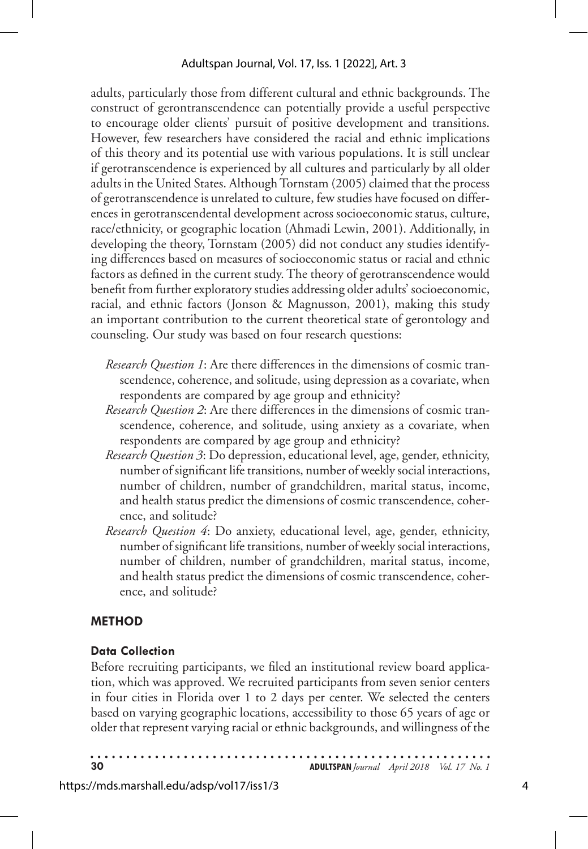adults, particularly those from different cultural and ethnic backgrounds. The construct of gerontranscendence can potentially provide a useful perspective to encourage older clients' pursuit of positive development and transitions. However, few researchers have considered the racial and ethnic implications of this theory and its potential use with various populations. It is still unclear if gerotranscendence is experienced by all cultures and particularly by all older adults in the United States. Although Tornstam (2005) claimed that the process of gerotranscendence is unrelated to culture, few studies have focused on differences in gerotranscendental development across socioeconomic status, culture, race/ethnicity, or geographic location (Ahmadi Lewin, 2001). Additionally, in developing the theory, Tornstam (2005) did not conduct any studies identifying differences based on measures of socioeconomic status or racial and ethnic factors as defined in the current study. The theory of gerotranscendence would benefit from further exploratory studies addressing older adults' socioeconomic, racial, and ethnic factors (Jonson & Magnusson, 2001), making this study an important contribution to the current theoretical state of gerontology and counseling. Our study was based on four research questions:

- *Research Question 1*: Are there differences in the dimensions of cosmic transcendence, coherence, and solitude, using depression as a covariate, when respondents are compared by age group and ethnicity?
- *Research Question 2*: Are there differences in the dimensions of cosmic transcendence, coherence, and solitude, using anxiety as a covariate, when respondents are compared by age group and ethnicity?
- *Research Question 3*: Do depression, educational level, age, gender, ethnicity, number of significant life transitions, number of weekly social interactions, number of children, number of grandchildren, marital status, income, and health status predict the dimensions of cosmic transcendence, coherence, and solitude?
- *Research Question 4*: Do anxiety, educational level, age, gender, ethnicity, number of significant life transitions, number of weekly social interactions, number of children, number of grandchildren, marital status, income, and health status predict the dimensions of cosmic transcendence, coherence, and solitude?

# **METHOD**

# **Data Collection**

Before recruiting participants, we filed an institutional review board application, which was approved. We recruited participants from seven senior centers in four cities in Florida over 1 to 2 days per center. We selected the centers based on varying geographic locations, accessibility to those 65 years of age or older that represent varying racial or ethnic backgrounds, and willingness of the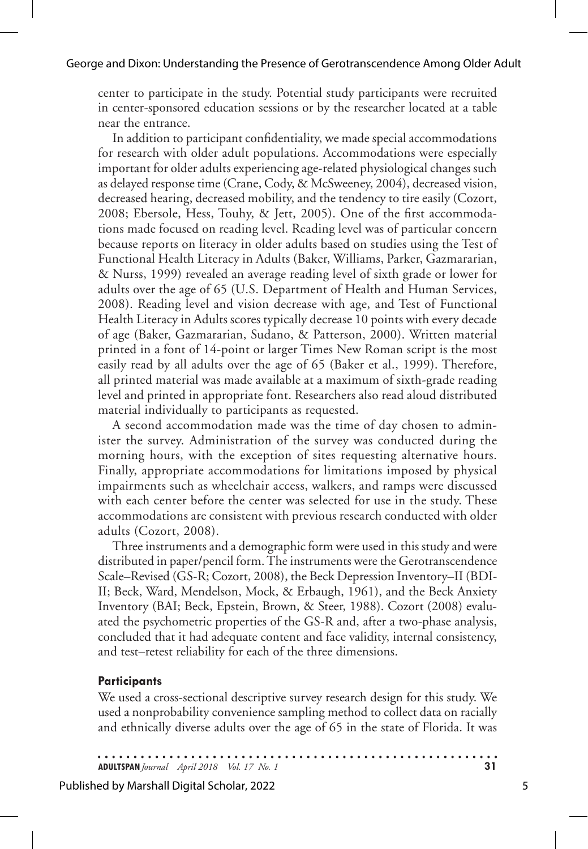center to participate in the study. Potential study participants were recruited in center-sponsored education sessions or by the researcher located at a table near the entrance.

In addition to participant confidentiality, we made special accommodations for research with older adult populations. Accommodations were especially important for older adults experiencing age-related physiological changes such as delayed response time (Crane, Cody, & McSweeney, 2004), decreased vision, decreased hearing, decreased mobility, and the tendency to tire easily (Cozort, 2008; Ebersole, Hess, Touhy, & Jett, 2005). One of the first accommodations made focused on reading level. Reading level was of particular concern because reports on literacy in older adults based on studies using the Test of Functional Health Literacy in Adults (Baker, Williams, Parker, Gazmararian, & Nurss, 1999) revealed an average reading level of sixth grade or lower for adults over the age of 65 (U.S. Department of Health and Human Services, 2008). Reading level and vision decrease with age, and Test of Functional Health Literacy in Adults scores typically decrease 10 points with every decade of age (Baker, Gazmararian, Sudano, & Patterson, 2000). Written material printed in a font of 14-point or larger Times New Roman script is the most easily read by all adults over the age of 65 (Baker et al., 1999). Therefore, all printed material was made available at a maximum of sixth-grade reading level and printed in appropriate font. Researchers also read aloud distributed material individually to participants as requested.

A second accommodation made was the time of day chosen to administer the survey. Administration of the survey was conducted during the morning hours, with the exception of sites requesting alternative hours. Finally, appropriate accommodations for limitations imposed by physical impairments such as wheelchair access, walkers, and ramps were discussed with each center before the center was selected for use in the study. These accommodations are consistent with previous research conducted with older adults (Cozort, 2008).

Three instruments and a demographic form were used in this study and were distributed in paper/pencil form. The instruments were the Gerotranscendence Scale–Revised (GS-R; Cozort, 2008), the Beck Depression Inventory–II (BDI-II; Beck, Ward, Mendelson, Mock, & Erbaugh, 1961), and the Beck Anxiety Inventory (BAI; Beck, Epstein, Brown, & Steer, 1988). Cozort (2008) evaluated the psychometric properties of the GS-R and, after a two-phase analysis, concluded that it had adequate content and face validity, internal consistency, and test–retest reliability for each of the three dimensions.

#### **Participants**

We used a cross-sectional descriptive survey research design for this study. We used a nonprobability convenience sampling method to collect data on racially and ethnically diverse adults over the age of 65 in the state of Florida. It was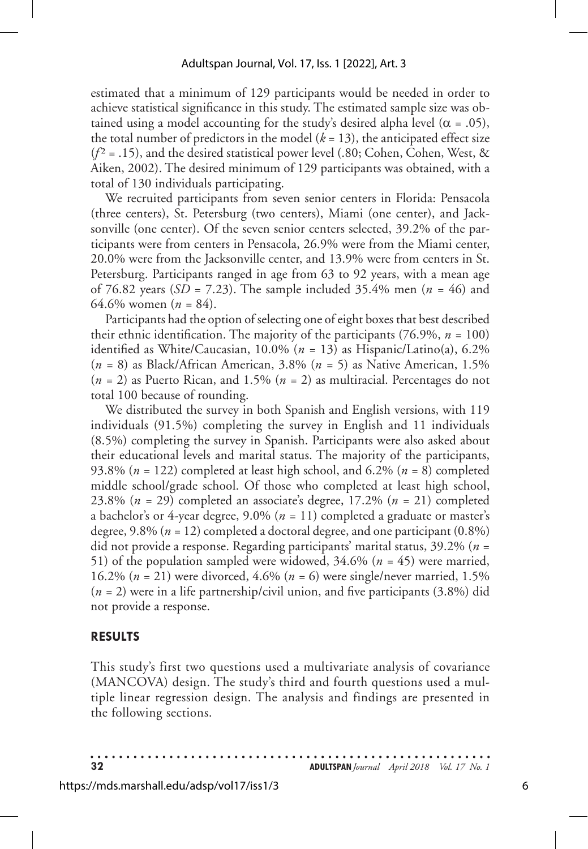estimated that a minimum of 129 participants would be needed in order to achieve statistical significance in this study. The estimated sample size was obtained using a model accounting for the study's desired alpha level ( $\alpha = .05$ ), the total number of predictors in the model  $(k = 13)$ , the anticipated effect size  $(f^2 = .15)$ , and the desired statistical power level (.80; Cohen, Cohen, West, & Aiken, 2002). The desired minimum of 129 participants was obtained, with a total of 130 individuals participating.

We recruited participants from seven senior centers in Florida: Pensacola (three centers), St. Petersburg (two centers), Miami (one center), and Jacksonville (one center). Of the seven senior centers selected, 39.2% of the participants were from centers in Pensacola, 26.9% were from the Miami center, 20.0% were from the Jacksonville center, and 13.9% were from centers in St. Petersburg. Participants ranged in age from 63 to 92 years, with a mean age of 76.82 years (*SD* = 7.23). The sample included 35.4% men (*n =* 46) and 64.6% women (*n =* 84).

Participants had the option of selecting one of eight boxes that best described their ethnic identification. The majority of the participants  $(76.9\%, n = 100)$ identified as White/Caucasian, 10.0% (*n =* 13) as Hispanic/Latino(a), 6.2% (*n =* 8) as Black/African American, 3.8% (*n =* 5) as Native American, 1.5% (*n =* 2) as Puerto Rican, and 1.5% (*n =* 2) as multiracial. Percentages do not total 100 because of rounding.

We distributed the survey in both Spanish and English versions, with 119 individuals (91.5%) completing the survey in English and 11 individuals (8.5%) completing the survey in Spanish. Participants were also asked about their educational levels and marital status. The majority of the participants, 93.8% (*n =* 122) completed at least high school, and 6.2% (*n =* 8) completed middle school/grade school. Of those who completed at least high school, 23.8% (*n =* 29) completed an associate's degree, 17.2% (*n =* 21) completed a bachelor's or 4-year degree, 9.0% (*n =* 11) completed a graduate or master's degree, 9.8% (*n =* 12) completed a doctoral degree, and one participant (0.8%) did not provide a response. Regarding participants' marital status, 39.2% (*n =*  51) of the population sampled were widowed, 34.6% (*n =* 45) were married, 16.2% (*n =* 21) were divorced, 4.6% (*n =* 6) were single/never married, 1.5% (*n =* 2) were in a life partnership/civil union, and five participants (3.8%) did not provide a response.

#### **RESULTS**

This study's first two questions used a multivariate analysis of covariance (MANCOVA) design. The study's third and fourth questions used a multiple linear regression design. The analysis and findings are presented in the following sections.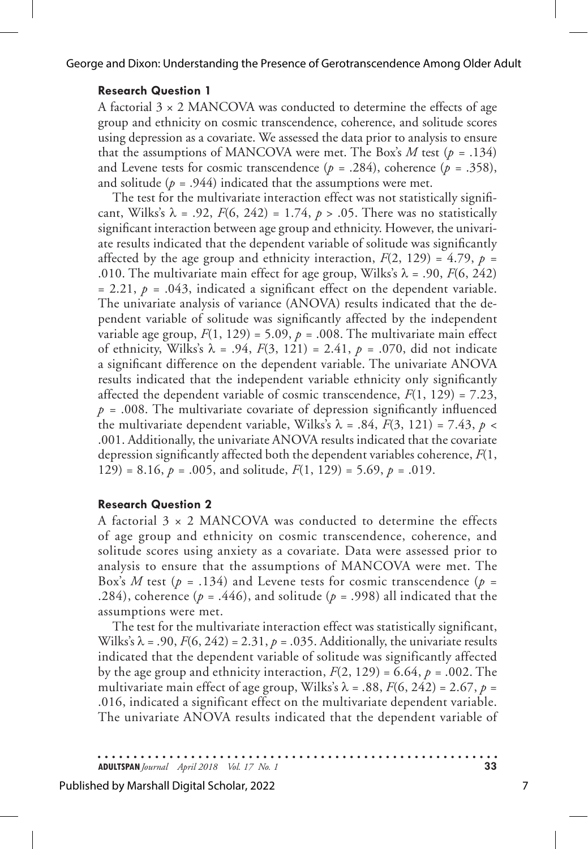George and Dixon: Understanding the Presence of Gerotranscendence Among Older Adult

#### **Research Question 1**

A factorial  $3 \times 2$  MANCOVA was conducted to determine the effects of age group and ethnicity on cosmic transcendence, coherence, and solitude scores using depression as a covariate. We assessed the data prior to analysis to ensure that the assumptions of MANCOVA were met. The Box's  $M$  test ( $p = .134$ ) and Levene tests for cosmic transcendence ( $p = .284$ ), coherence ( $p = .358$ ), and solitude  $(p = .944)$  indicated that the assumptions were met.

The test for the multivariate interaction effect was not statistically significant, Wilks's  $\lambda$  = .92,  $F(6, 242)$  = 1.74,  $p > .05$ . There was no statistically significant interaction between age group and ethnicity. However, the univariate results indicated that the dependent variable of solitude was significantly affected by the age group and ethnicity interaction,  $F(2, 129) = 4.79$ ,  $p =$ .010. The multivariate main effect for age group, Wilks's  $\lambda$  = .90,  $F(6, 242)$  $= 2.21$ ,  $p = .043$ , indicated a significant effect on the dependent variable. The univariate analysis of variance (ANOVA) results indicated that the dependent variable of solitude was significantly affected by the independent variable age group,  $F(1, 129) = 5.09$ ,  $p = .008$ . The multivariate main effect of ethnicity, Wilks's  $\lambda = .94$ ,  $F(3, 121) = 2.41$ ,  $p = .070$ , did not indicate a significant difference on the dependent variable. The univariate ANOVA results indicated that the independent variable ethnicity only significantly affected the dependent variable of cosmic transcendence,  $F(1, 129) = 7.23$ ,  $p = .008$ . The multivariate covariate of depression significantly influenced the multivariate dependent variable, Wilks's  $\lambda = .84$ ,  $F(3, 121) = 7.43$ ,  $p <$ .001. Additionally, the univariate ANOVA results indicated that the covariate depression significantly affected both the dependent variables coherence, *F*(1, 129) = 8.16,  $p = .005$ , and solitude,  $F(1, 129) = 5.69$ ,  $p = .019$ .

#### **Research Question 2**

A factorial 3 × 2 MANCOVA was conducted to determine the effects of age group and ethnicity on cosmic transcendence, coherence, and solitude scores using anxiety as a covariate. Data were assessed prior to analysis to ensure that the assumptions of MANCOVA were met. The Box's *M* test ( $p = .134$ ) and Levene tests for cosmic transcendence ( $p =$ .284), coherence ( $p = .446$ ), and solitude ( $p = .998$ ) all indicated that the assumptions were met.

The test for the multivariate interaction effect was statistically significant, Wilks's  $\lambda$  = .90,  $F(6, 242)$  = 2.31,  $p = .035$ . Additionally, the univariate results indicated that the dependent variable of solitude was significantly affected by the age group and ethnicity interaction,  $F(2, 129) = 6.64$ ,  $p = .002$ . The multivariate main effect of age group, Wilks's  $\lambda = .88$ ,  $F(6, 242) = 2.67$ ,  $p =$ .016, indicated a significant effect on the multivariate dependent variable. The univariate ANOVA results indicated that the dependent variable of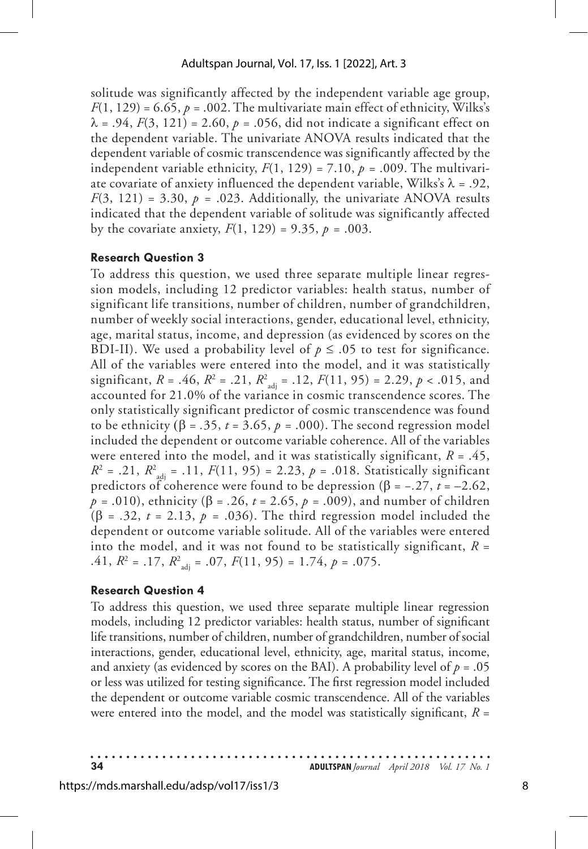solitude was significantly affected by the independent variable age group,  $F(1, 129) = 6.65$ ,  $p = .002$ . The multivariate main effect of ethnicity, Wilks's  $\lambda = .94, F(3, 121) = 2.60, p = .056, \text{did not indicate a significant effect on }$ the dependent variable. The univariate ANOVA results indicated that the dependent variable of cosmic transcendence was significantly affected by the independent variable ethnicity,  $F(1, 129) = 7.10$ ,  $p = .009$ . The multivariate covariate of anxiety influenced the dependent variable, Wilks's  $\lambda = .92$ ,  $F(3, 121) = 3.30, p = .023$ . Additionally, the univariate ANOVA results indicated that the dependent variable of solitude was significantly affected by the covariate anxiety,  $F(1, 129) = 9.35$ ,  $p = .003$ .

#### **Research Question 3**

To address this question, we used three separate multiple linear regression models, including 12 predictor variables: health status, number of significant life transitions, number of children, number of grandchildren, number of weekly social interactions, gender, educational level, ethnicity, age, marital status, income, and depression (as evidenced by scores on the BDI-II). We used a probability level of  $p \leq 0.05$  to test for significance. All of the variables were entered into the model, and it was statistically significant, *R* = .46,  $R^2$  = .21,  $R^2_{\text{adj}}$  = .12,  $F(11, 95)$  = 2.29,  $p < .015$ , and accounted for 21.0% of the variance in cosmic transcendence scores. The only statistically significant predictor of cosmic transcendence was found to be ethnicity (β =  $.35$ ,  $t = 3.65$ ,  $p = .000$ ). The second regression model included the dependent or outcome variable coherence. All of the variables were entered into the model, and it was statistically significant, *R* = .45,  $R^2$  = .21,  $R^2$ <sub>adj</sub> = .11,  $F(11, 95)$  = 2.23,  $p$  = .018. Statistically significant predictors of coherence were found to be depression ( $\beta$  = -*.*27, *t* = -2.62, *p =* .010), ethnicity (β = *.*26, *t* = 2.65, *p =* .009), and number of children ( $\beta$  = .32,  $t$  = 2.13,  $p$  = .036). The third regression model included the dependent or outcome variable solitude. All of the variables were entered into the model, and it was not found to be statistically significant,  $R =$ .41,  $R^2 = .17$ ,  $R^2_{\text{adj}} = .07$ ,  $F(11, 95) = 1.74$ ,  $p = .075$ .

#### **Research Question 4**

To address this question, we used three separate multiple linear regression models, including 12 predictor variables: health status, number of significant life transitions, number of children, number of grandchildren, number of social interactions, gender, educational level, ethnicity, age, marital status, income, and anxiety (as evidenced by scores on the BAI). A probability level of  $p = .05$ or less was utilized for testing significance. The first regression model included the dependent or outcome variable cosmic transcendence. All of the variables were entered into the model, and the model was statistically significant, *R* =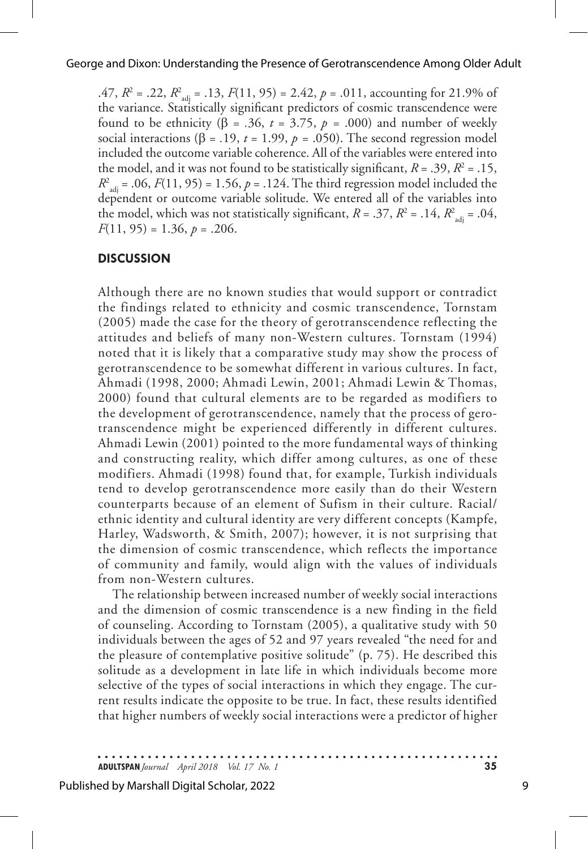.47,  $R^2 = .22$ ,  $R^2_{\text{adj}} = .13$ ,  $F(11, 95) = 2.42$ ,  $p = .011$ , accounting for 21.9% of the variance. Statistically significant predictors of cosmic transcendence were found to be ethnicity (β = *.*36, *t* = 3.75, *p =* .000) and number of weekly social interactions ( $\beta$  = .19,  $t$  = 1.99,  $p$  = .050). The second regression model included the outcome variable coherence. All of the variables were entered into the model, and it was not found to be statistically significant,  $R = .39$ ,  $R^2 = .15$ ,  $R^2_{\text{adj}} = .06, F(11, 95) = 1.56, p = .124.$  The third regression model included the dependent or outcome variable solitude. We entered all of the variables into the model, which was not statistically significant,  $R = .37$ ,  $R^2 = .14$ ,  $R^2_{\text{adj}} = .04$ , *F*(11, 95) = 1.36, *p* = .206.

## **DISCUSSION**

Although there are no known studies that would support or contradict the findings related to ethnicity and cosmic transcendence, Tornstam (2005) made the case for the theory of gerotranscendence reflecting the attitudes and beliefs of many non-Western cultures. Tornstam (1994) noted that it is likely that a comparative study may show the process of gerotranscendence to be somewhat different in various cultures. In fact, Ahmadi (1998, 2000; Ahmadi Lewin, 2001; Ahmadi Lewin & Thomas, 2000) found that cultural elements are to be regarded as modifiers to the development of gerotranscendence, namely that the process of gerotranscendence might be experienced differently in different cultures. Ahmadi Lewin (2001) pointed to the more fundamental ways of thinking and constructing reality, which differ among cultures, as one of these modifiers. Ahmadi (1998) found that, for example, Turkish individuals tend to develop gerotranscendence more easily than do their Western counterparts because of an element of Sufism in their culture. Racial/ ethnic identity and cultural identity are very different concepts (Kampfe, Harley, Wadsworth, & Smith, 2007); however, it is not surprising that the dimension of cosmic transcendence, which reflects the importance of community and family, would align with the values of individuals from non-Western cultures.

The relationship between increased number of weekly social interactions and the dimension of cosmic transcendence is a new finding in the field of counseling. According to Tornstam (2005), a qualitative study with 50 individuals between the ages of 52 and 97 years revealed "the need for and the pleasure of contemplative positive solitude" (p. 75). He described this solitude as a development in late life in which individuals become more selective of the types of social interactions in which they engage. The current results indicate the opposite to be true. In fact, these results identified that higher numbers of weekly social interactions were a predictor of higher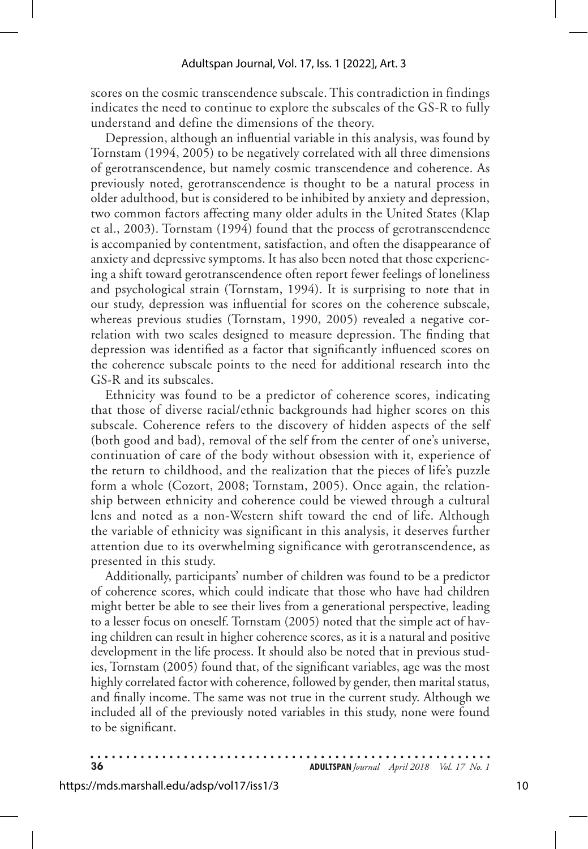scores on the cosmic transcendence subscale. This contradiction in findings indicates the need to continue to explore the subscales of the GS-R to fully understand and define the dimensions of the theory.

Depression, although an influential variable in this analysis, was found by Tornstam (1994, 2005) to be negatively correlated with all three dimensions of gerotranscendence, but namely cosmic transcendence and coherence. As previously noted, gerotranscendence is thought to be a natural process in older adulthood, but is considered to be inhibited by anxiety and depression, two common factors affecting many older adults in the United States (Klap et al., 2003). Tornstam (1994) found that the process of gerotranscendence is accompanied by contentment, satisfaction, and often the disappearance of anxiety and depressive symptoms. It has also been noted that those experiencing a shift toward gerotranscendence often report fewer feelings of loneliness and psychological strain (Tornstam, 1994). It is surprising to note that in our study, depression was influential for scores on the coherence subscale, whereas previous studies (Tornstam, 1990, 2005) revealed a negative correlation with two scales designed to measure depression. The finding that depression was identified as a factor that significantly influenced scores on the coherence subscale points to the need for additional research into the GS-R and its subscales.

Ethnicity was found to be a predictor of coherence scores, indicating that those of diverse racial/ethnic backgrounds had higher scores on this subscale. Coherence refers to the discovery of hidden aspects of the self (both good and bad), removal of the self from the center of one's universe, continuation of care of the body without obsession with it, experience of the return to childhood, and the realization that the pieces of life's puzzle form a whole (Cozort, 2008; Tornstam, 2005). Once again, the relationship between ethnicity and coherence could be viewed through a cultural lens and noted as a non-Western shift toward the end of life. Although the variable of ethnicity was significant in this analysis, it deserves further attention due to its overwhelming significance with gerotranscendence, as presented in this study.

Additionally, participants' number of children was found to be a predictor of coherence scores, which could indicate that those who have had children might better be able to see their lives from a generational perspective, leading to a lesser focus on oneself. Tornstam (2005) noted that the simple act of having children can result in higher coherence scores, as it is a natural and positive development in the life process. It should also be noted that in previous studies, Tornstam (2005) found that, of the significant variables, age was the most highly correlated factor with coherence, followed by gender, then marital status, and finally income. The same was not true in the current study. Although we included all of the previously noted variables in this study, none were found to be significant.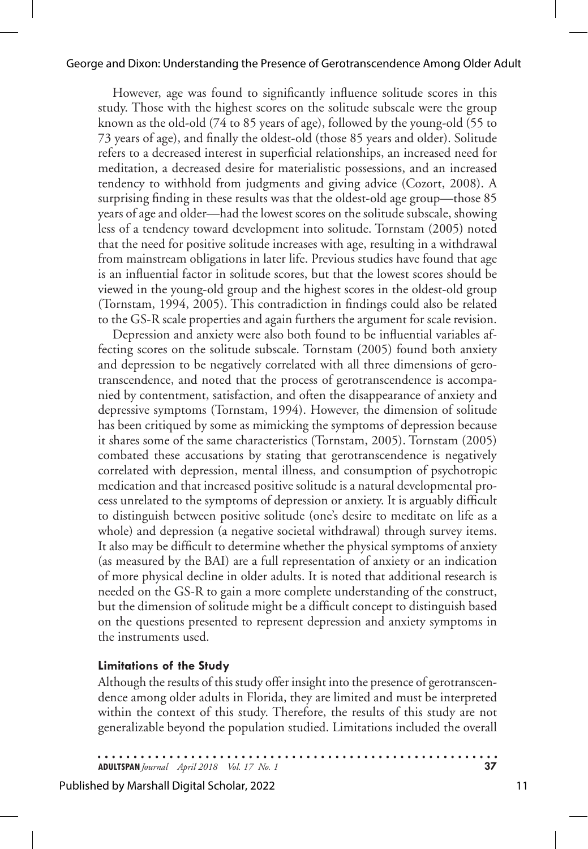#### George and Dixon: Understanding the Presence of Gerotranscendence Among Older Adult

However, age was found to significantly influence solitude scores in this study. Those with the highest scores on the solitude subscale were the group known as the old-old (74 to 85 years of age), followed by the young-old (55 to 73 years of age), and finally the oldest-old (those 85 years and older). Solitude refers to a decreased interest in superficial relationships, an increased need for meditation, a decreased desire for materialistic possessions, and an increased tendency to withhold from judgments and giving advice (Cozort, 2008). A surprising finding in these results was that the oldest-old age group—those 85 years of age and older—had the lowest scores on the solitude subscale, showing less of a tendency toward development into solitude. Tornstam (2005) noted that the need for positive solitude increases with age, resulting in a withdrawal from mainstream obligations in later life. Previous studies have found that age is an influential factor in solitude scores, but that the lowest scores should be viewed in the young-old group and the highest scores in the oldest-old group (Tornstam, 1994, 2005). This contradiction in findings could also be related to the GS-R scale properties and again furthers the argument for scale revision.

Depression and anxiety were also both found to be influential variables affecting scores on the solitude subscale. Tornstam (2005) found both anxiety and depression to be negatively correlated with all three dimensions of gerotranscendence, and noted that the process of gerotranscendence is accompanied by contentment, satisfaction, and often the disappearance of anxiety and depressive symptoms (Tornstam, 1994). However, the dimension of solitude has been critiqued by some as mimicking the symptoms of depression because it shares some of the same characteristics (Tornstam, 2005). Tornstam (2005) combated these accusations by stating that gerotranscendence is negatively correlated with depression, mental illness, and consumption of psychotropic medication and that increased positive solitude is a natural developmental process unrelated to the symptoms of depression or anxiety. It is arguably difficult to distinguish between positive solitude (one's desire to meditate on life as a whole) and depression (a negative societal withdrawal) through survey items. It also may be difficult to determine whether the physical symptoms of anxiety (as measured by the BAI) are a full representation of anxiety or an indication of more physical decline in older adults. It is noted that additional research is needed on the GS-R to gain a more complete understanding of the construct, but the dimension of solitude might be a difficult concept to distinguish based on the questions presented to represent depression and anxiety symptoms in the instruments used.

#### **Limitations of the Study**

Although the results of this study offer insight into the presence of gerotranscendence among older adults in Florida, they are limited and must be interpreted within the context of this study. Therefore, the results of this study are not generalizable beyond the population studied. Limitations included the overall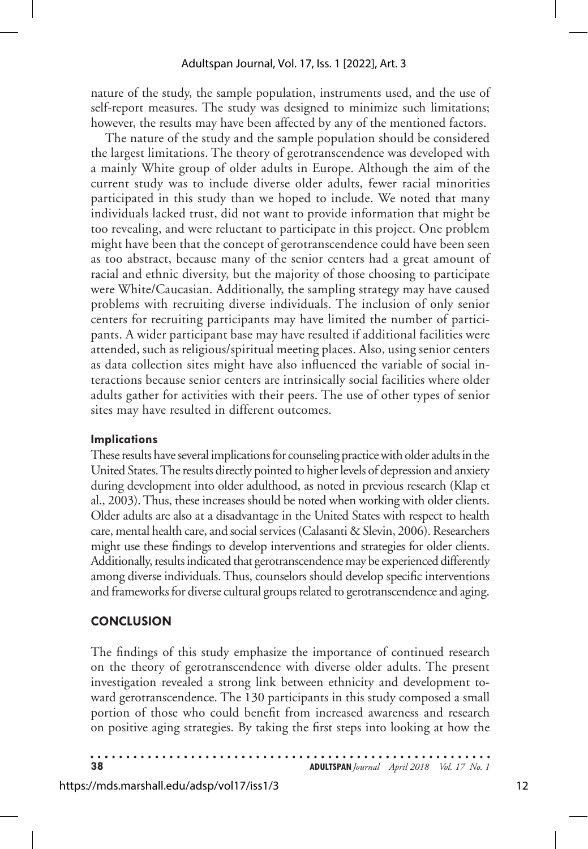nature of the study, the sample population, instruments used, and the use of self-report measures. The study was designed to minimize such limitations; however, the results may have been affected by any of the mentioned factors.

The nature of the study and the sample population should be considered the largest limitations. The theory of gerotranscendence was developed with a mainly White group of older adults in Europe. Although the aim of the current study was to include diverse older adults, fewer racial minorities participated in this study than we hoped to include. We noted that many individuals lacked trust, did not want to provide information that might be too revealing, and were reluctant to participate in this project. One problem might have been that the concept of gerotranscendence could have been seen as too abstract, because many of the senior centers had a great amount of racial and ethnic diversity, but the majority of those choosing to participate were White/Caucasian. Additionally, the sampling strategy may have caused problems with recruiting diverse individuals. The inclusion of only senior centers for recruiting participants may have limited the number of participants. A wider participant base may have resulted if additional facilities were attended, such as religious/spiritual meeting places. Also, using senior centers as data collection sites might have also influenced the variable of social interactions because senior centers are intrinsically social facilities where older adults gather for activities with their peers. The use of other types of senior sites may have resulted in different outcomes.

#### **Implications**

These results have several implications for counseling practice with older adults in the United States. The results directly pointed to higher levels of depression and anxiety during development into older adulthood, as noted in previous research (Klap et al., 2003). Thus, these increases should be noted when working with older clients. Older adults are also at a disadvantage in the United States with respect to health care, mental health care, and social services (Calasanti & Slevin, 2006). Researchers might use these findings to develop interventions and strategies for older clients. Additionally, results indicated that gerotranscendence may be experienced differently among diverse individuals. Thus, counselors should develop specific interventions and frameworks for diverse cultural groups related to gerotranscendence and aging.

# **CONCLUSION**

The findings of this study emphasize the importance of continued research on the theory of gerotranscendence with diverse older adults. The present investigation revealed a strong link between ethnicity and development toward gerotranscendence. The 130 participants in this study composed a small portion of those who could benefit from increased awareness and research on positive aging strategies. By taking the first steps into looking at how the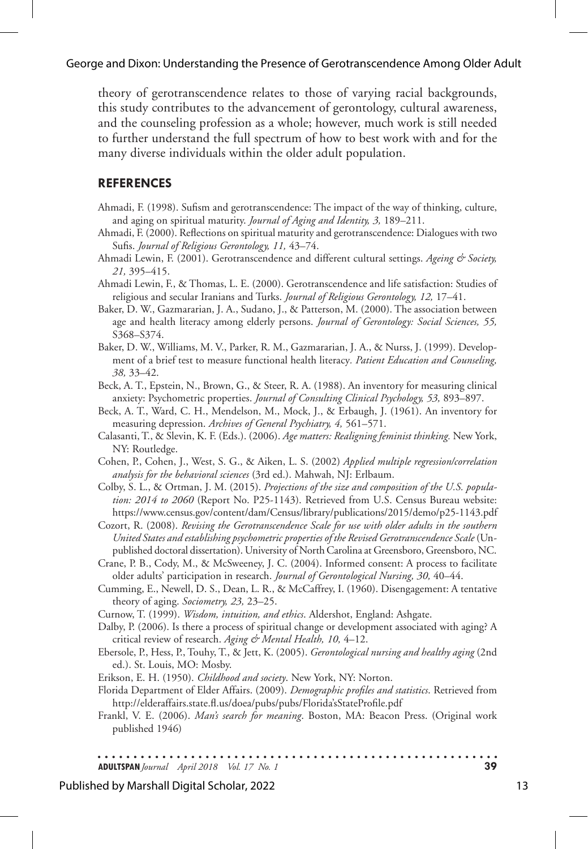#### George and Dixon: Understanding the Presence of Gerotranscendence Among Older Adult

theory of gerotranscendence relates to those of varying racial backgrounds, this study contributes to the advancement of gerontology, cultural awareness, and the counseling profession as a whole; however, much work is still needed to further understand the full spectrum of how to best work with and for the many diverse individuals within the older adult population.

#### **REFERENCES**

- Ahmadi, F. (1998). Sufism and gerotranscendence: The impact of the way of thinking, culture, and aging on spiritual maturity. *Journal of Aging and Identity, 3,* 189–211.
- Ahmadi, F. (2000). Reflections on spiritual maturity and gerotranscendence: Dialogues with two Sufis. *Journal of Religious Gerontology, 11,* 43–74.
- Ahmadi Lewin, F. (2001). Gerotranscendence and different cultural settings. *Ageing & Society, 21,* 395–415.
- Ahmadi Lewin, F., & Thomas, L. E. (2000). Gerotranscendence and life satisfaction: Studies of religious and secular Iranians and Turks. *Journal of Religious Gerontology, 12,* 17–41.
- Baker, D. W., Gazmararian, J. A., Sudano, J., & Patterson, M. (2000). The association between age and health literacy among elderly persons. *Journal of Gerontology: Social Sciences, 55,*  S368–S374.
- Baker, D. W., Williams, M. V., Parker, R. M., Gazmararian, J. A., & Nurss, J. (1999). Development of a brief test to measure functional health literacy*. Patient Education and Counseling, 38,* 33–42.
- Beck, A. T., Epstein, N., Brown, G., & Steer, R. A. (1988). An inventory for measuring clinical anxiety: Psychometric properties. *Journal of Consulting Clinical Psychology, 53,* 893–897.
- Beck, A. T., Ward, C. H., Mendelson, M., Mock, J., & Erbaugh, J. (1961). An inventory for measuring depression. *Archives of General Psychiatry, 4,* 561–571.
- Calasanti, T., & Slevin, K. F. (Eds.). (2006). *Age matters: Realigning feminist thinking.* New York, NY: Routledge.
- Cohen, P., Cohen, J., West, S. G., & Aiken, L. S. (2002) *Applied multiple regression/correlation analysis for the behavioral sciences* (3rd ed.). Mahwah, NJ: Erlbaum.
- Colby, S. L., & Ortman, J. M. (2015). *Projections of the size and composition of the U.S. population: 2014 to 2060* (Report No. P25-1143). Retrieved from U.S. Census Bureau website: https://www.census.gov/content/dam/Census/library/publications/2015/demo/p25-1143.pdf
- Cozort, R. (2008). *Revising the Gerotranscendence Scale for use with older adults in the southern United States and establishing psychometric properties of the Revised Gerotranscendence Scale* (Unpublished doctoral dissertation). University of North Carolina at Greensboro, Greensboro, NC.
- Crane, P. B., Cody, M., & McSweeney, J. C. (2004). Informed consent: A process to facilitate older adults' participation in research. *Journal of Gerontological Nursing, 30,* 40–44.
- Cumming, E., Newell, D. S., Dean, L. R., & McCaffrey, I. (1960). Disengagement: A tentative theory of aging. *Sociometry, 23,* 23–25.

Curnow, T. (1999). *Wisdom, intuition, and ethics*. Aldershot, England: Ashgate.

- Dalby, P. (2006). Is there a process of spiritual change or development associated with aging? A critical review of research. *Aging & Mental Health, 10,* 4–12.
- Ebersole, P., Hess, P., Touhy, T., & Jett, K. (2005). *Gerontological nursing and healthy aging* (2nd ed.). St. Louis, MO: Mosby.
- Erikson, E. H. (1950). *Childhood and society*. New York, NY: Norton.
- Florida Department of Elder Affairs. (2009). *Demographic profiles and statistics*. Retrieved from http://elderaffairs.state.fl.us/doea/pubs/pubs/Florida'sStateProfile.pdf
- Frankl, V. E. (2006). *Man's search for meaning*. Boston, MA: Beacon Press. (Original work published 1946)

. . . . . . . . . . . **ADULTSPAN***Journal April 2018 Vol. 17 No. 1* **39**

#### Published by Marshall Digital Scholar, 2022